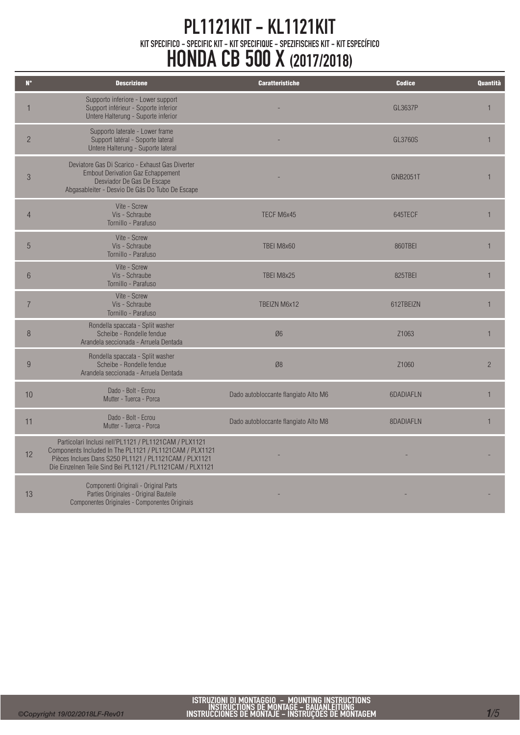| $\mathbf{N}^{\bullet}$ | <b>Descrizione</b>                                                                                                                                                                                                                       | <b>Caratteristiche</b>               | <b>Codice</b>   | Quantità       |
|------------------------|------------------------------------------------------------------------------------------------------------------------------------------------------------------------------------------------------------------------------------------|--------------------------------------|-----------------|----------------|
| 1                      | Supporto inferiore - Lower support<br>Support inférieur - Soporte inferior<br>Untere Halterung - Suporte inferior                                                                                                                        |                                      | GL3637P         |                |
| $\overline{2}$         | Supporto laterale - Lower frame<br>Support latéral - Soporte lateral<br>Untere Halterung - Suporte lateral                                                                                                                               |                                      | GL3760S         | 1              |
| $\mathfrak{B}$         | Deviatore Gas Di Scarico - Exhaust Gas Diverter<br><b>Embout Derivation Gaz Echappement</b><br>Desviador De Gas De Escape<br>Abgasableiter - Desvio De Gás Do Tubo De Escape                                                             |                                      | <b>GNB2051T</b> | $\overline{1}$ |
| $\overline{4}$         | Vite - Screw<br>Vis - Schraube<br>Tornillo - Parafuso                                                                                                                                                                                    | TECF M6x45                           | 645TECF         | $\overline{1}$ |
| 5                      | Vite - Screw<br>Vis - Schraube<br>Tornillo - Parafuso                                                                                                                                                                                    | TBEI M8x60                           | 860TBEI         | $\mathbf{1}$   |
| 6                      | Vite - Screw<br>Vis - Schraube<br>Tornillo - Parafuso                                                                                                                                                                                    | TBEI M8x25                           | 825TBEI         | $\mathbf{1}$   |
| $\overline{7}$         | Vite - Screw<br>Vis - Schraube<br>Tornillo - Parafuso                                                                                                                                                                                    | TBEIZN M6x12                         | 612TBEIZN       | $\mathbf{1}$   |
| 8                      | Rondella spaccata - Split washer<br>Scheibe - Rondelle fendue<br>Arandela seccionada - Arruela Dentada                                                                                                                                   | Ø6                                   | Z1063           | $\mathbf{1}$   |
| 9                      | Rondella spaccata - Split washer<br>Scheibe - Rondelle fendue<br>Arandela seccionada - Arruela Dentada                                                                                                                                   | Ø8                                   | Z1060           | $\overline{2}$ |
| 10                     | Dado - Bolt - Ecrou<br>Mutter - Tuerca - Porca                                                                                                                                                                                           | Dado autobloccante flangiato Alto M6 | 6DADIAFLN       | $\overline{1}$ |
| 11                     | Dado - Bolt - Ecrou<br>Mutter - Tuerca - Porca                                                                                                                                                                                           | Dado autobloccante flangiato Alto M8 | 8DADIAFLN       | $\mathbf{1}$   |
| 12                     | Particolari Inclusi nell'PL1121 / PL1121CAM / PLX1121<br>Components Included In The PL1121 / PL1121 CAM / PLX1121<br>Pièces Inclues Dans S250 PL1121 / PL1121CAM / PLX1121<br>Die Einzelnen Teile Sind Bei PL1121 / PL1121 CAM / PLX1121 |                                      |                 |                |
| 13                     | Componenti Originali - Original Parts<br>Parties Originales - Original Bauteile<br>Componentes Originales - Componentes Originais                                                                                                        |                                      |                 |                |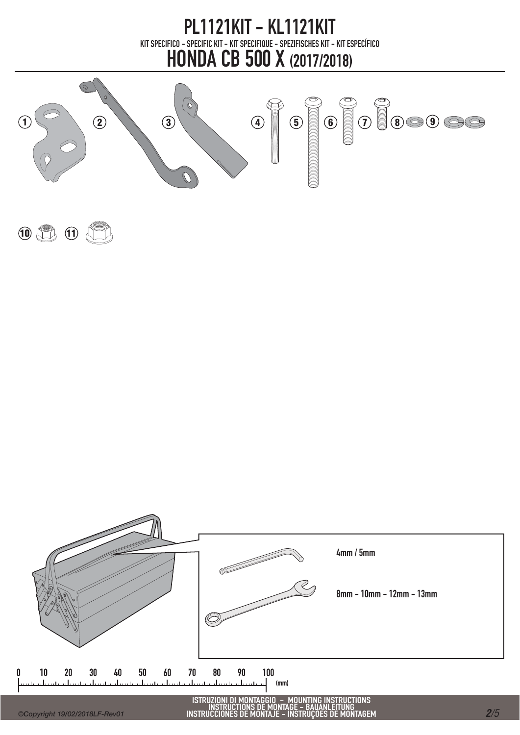



 $10$   $11$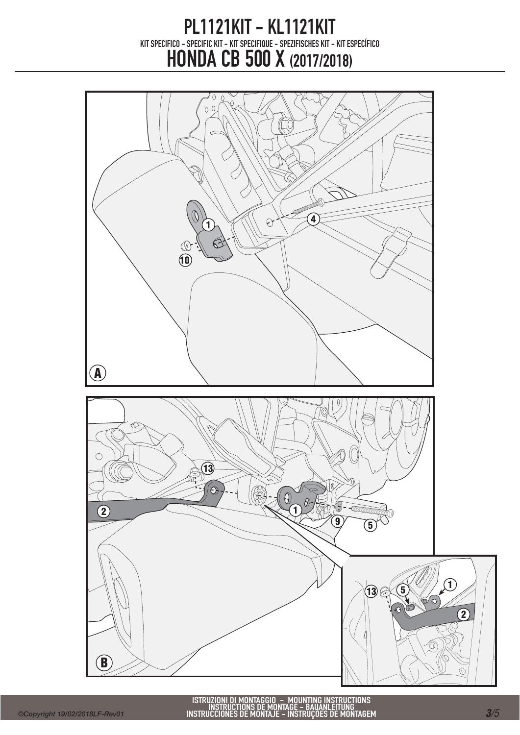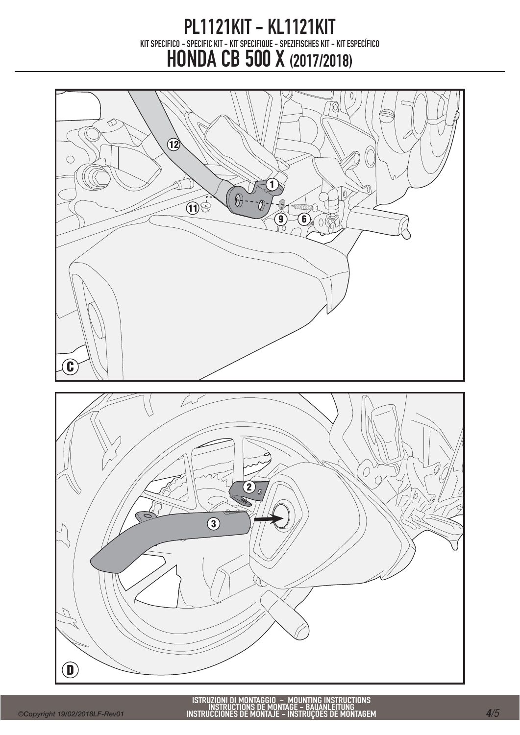